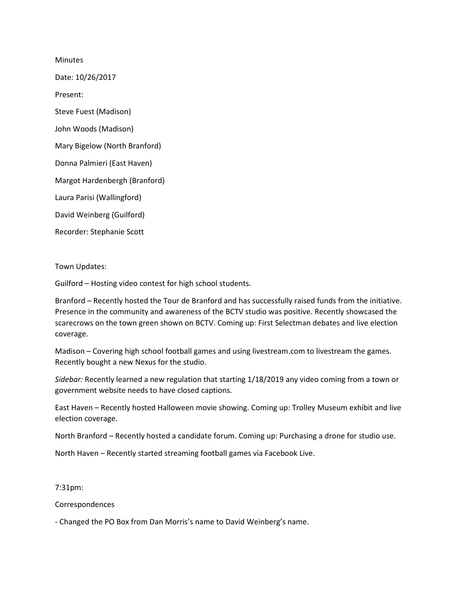Minutes Date: 10/26/2017 Present: Steve Fuest (Madison) John Woods (Madison) Mary Bigelow (North Branford) Donna Palmieri (East Haven) Margot Hardenbergh (Branford) Laura Parisi (Wallingford) David Weinberg (Guilford) Recorder: Stephanie Scott

Town Updates:

Guilford – Hosting video contest for high school students.

Branford – Recently hosted the Tour de Branford and has successfully raised funds from the initiative. Presence in the community and awareness of the BCTV studio was positive. Recently showcased the scarecrows on the town green shown on BCTV. Coming up: First Selectman debates and live election coverage.

Madison – Covering high school football games and using livestream.com to livestream the games. Recently bought a new Nexus for the studio.

*Sidebar:* Recently learned a new regulation that starting 1/18/2019 any video coming from a town or government website needs to have closed captions.

East Haven – Recently hosted Halloween movie showing. Coming up: Trolley Museum exhibit and live election coverage.

North Branford – Recently hosted a candidate forum. Coming up: Purchasing a drone for studio use.

North Haven – Recently started streaming football games via Facebook Live.

7:31pm:

Correspondences

- Changed the PO Box from Dan Morris's name to David Weinberg's name.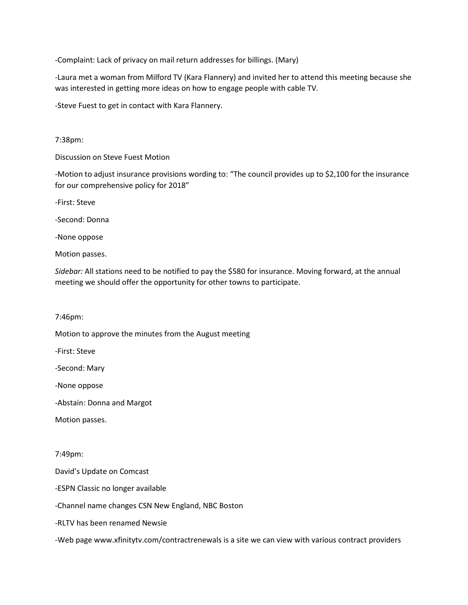-Complaint: Lack of privacy on mail return addresses for billings. (Mary)

-Laura met a woman from Milford TV (Kara Flannery) and invited her to attend this meeting because she was interested in getting more ideas on how to engage people with cable TV.

-Steve Fuest to get in contact with Kara Flannery.

7:38pm:

Discussion on Steve Fuest Motion

-Motion to adjust insurance provisions wording to: "The council provides up to \$2,100 for the insurance for our comprehensive policy for 2018"

-First: Steve

-Second: Donna

-None oppose

Motion passes.

*Sidebar:* All stations need to be notified to pay the \$580 for insurance. Moving forward, at the annual meeting we should offer the opportunity for other towns to participate.

7:46pm:

Motion to approve the minutes from the August meeting

-First: Steve

-Second: Mary

-None oppose

-Abstain: Donna and Margot

Motion passes.

7:49pm:

David's Update on Comcast

-ESPN Classic no longer available

-Channel name changes CSN New England, NBC Boston

-RLTV has been renamed Newsie

-Web page www.xfinitytv.com/contractrenewals is a site we can view with various contract providers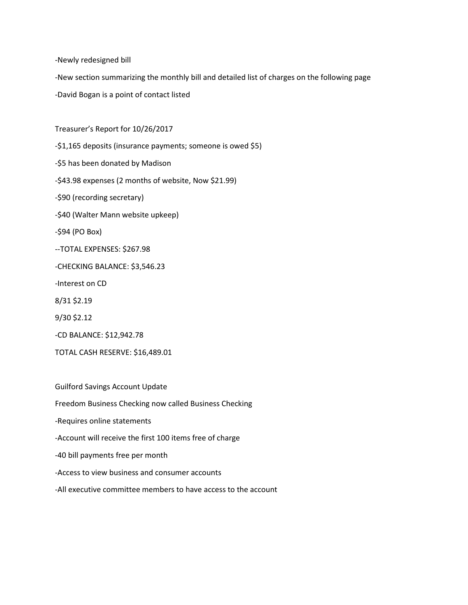-Newly redesigned bill

-New section summarizing the monthly bill and detailed list of charges on the following page

-David Bogan is a point of contact listed

Treasurer's Report for 10/26/2017

-\$1,165 deposits (insurance payments; someone is owed \$5) -\$5 has been donated by Madison -\$43.98 expenses (2 months of website, Now \$21.99) -\$90 (recording secretary) -\$40 (Walter Mann website upkeep) -\$94 (PO Box) --TOTAL EXPENSES: \$267.98 -CHECKING BALANCE: \$3,546.23 -Interest on CD 8/31 \$2.19 9/30 \$2.12 -CD BALANCE: \$12,942.78 TOTAL CASH RESERVE: \$16,489.01

Guilford Savings Account Update

Freedom Business Checking now called Business Checking

-Requires online statements

-Account will receive the first 100 items free of charge

-40 bill payments free per month

-Access to view business and consumer accounts

-All executive committee members to have access to the account